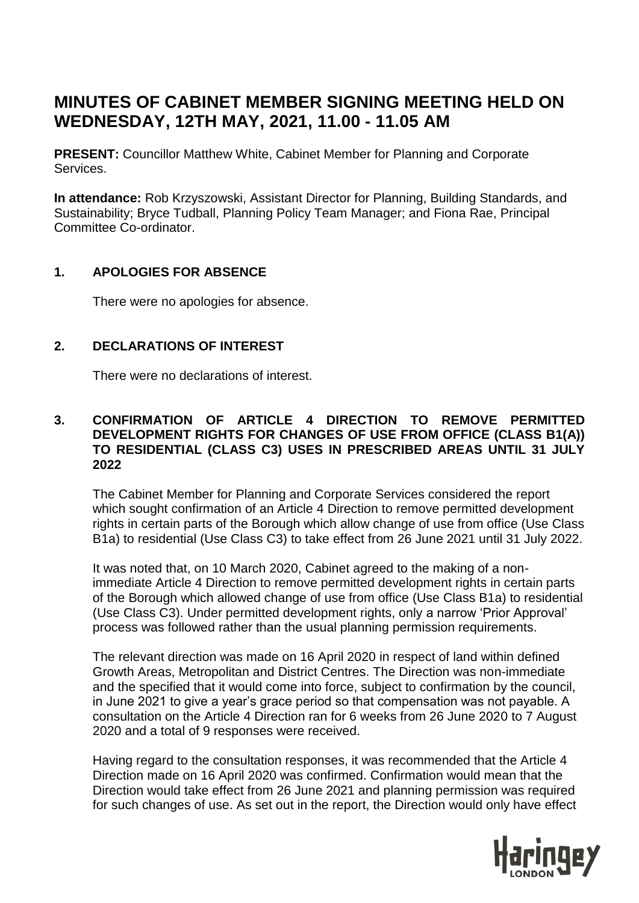# **MINUTES OF CABINET MEMBER SIGNING MEETING HELD ON WEDNESDAY, 12TH MAY, 2021, 11.00 - 11.05 AM**

**PRESENT:** Councillor Matthew White, Cabinet Member for Planning and Corporate Services.

**In attendance:** Rob Krzyszowski, Assistant Director for Planning, Building Standards, and Sustainability; Bryce Tudball, Planning Policy Team Manager; and Fiona Rae, Principal Committee Co-ordinator.

#### **1. APOLOGIES FOR ABSENCE**

There were no apologies for absence.

## **2. DECLARATIONS OF INTEREST**

There were no declarations of interest.

#### **3. CONFIRMATION OF ARTICLE 4 DIRECTION TO REMOVE PERMITTED DEVELOPMENT RIGHTS FOR CHANGES OF USE FROM OFFICE (CLASS B1(A)) TO RESIDENTIAL (CLASS C3) USES IN PRESCRIBED AREAS UNTIL 31 JULY 2022**

The Cabinet Member for Planning and Corporate Services considered the report which sought confirmation of an Article 4 Direction to remove permitted development rights in certain parts of the Borough which allow change of use from office (Use Class B1a) to residential (Use Class C3) to take effect from 26 June 2021 until 31 July 2022.

It was noted that, on 10 March 2020, Cabinet agreed to the making of a nonimmediate Article 4 Direction to remove permitted development rights in certain parts of the Borough which allowed change of use from office (Use Class B1a) to residential (Use Class C3). Under permitted development rights, only a narrow 'Prior Approval' process was followed rather than the usual planning permission requirements.

The relevant direction was made on 16 April 2020 in respect of land within defined Growth Areas, Metropolitan and District Centres. The Direction was non-immediate and the specified that it would come into force, subject to confirmation by the council, in June 2021 to give a year's grace period so that compensation was not payable. A consultation on the Article 4 Direction ran for 6 weeks from 26 June 2020 to 7 August 2020 and a total of 9 responses were received.

Having regard to the consultation responses, it was recommended that the Article 4 Direction made on 16 April 2020 was confirmed. Confirmation would mean that the Direction would take effect from 26 June 2021 and planning permission was required for such changes of use. As set out in the report, the Direction would only have effect

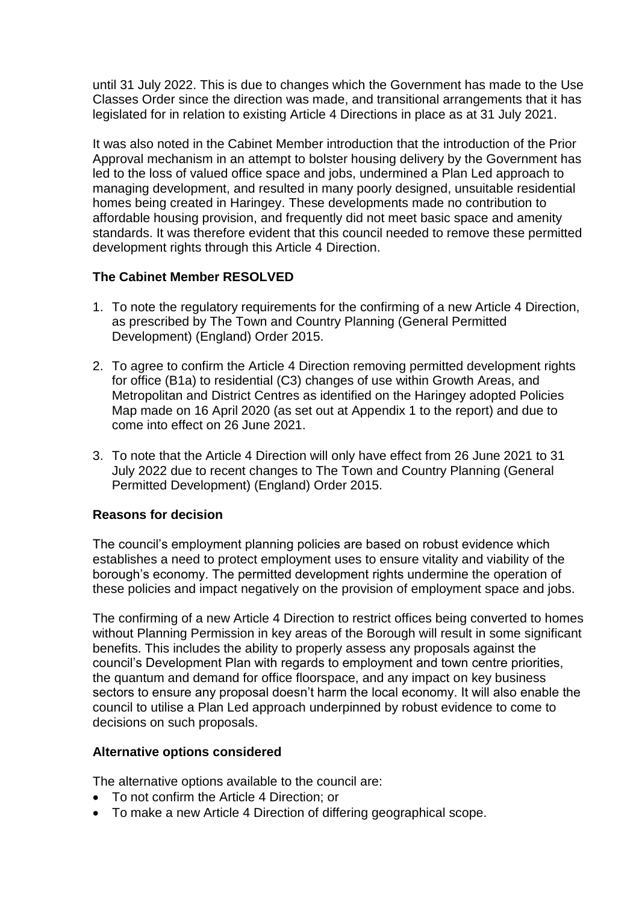until 31 July 2022. This is due to changes which the Government has made to the Use Classes Order since the direction was made, and transitional arrangements that it has legislated for in relation to existing Article 4 Directions in place as at 31 July 2021.

It was also noted in the Cabinet Member introduction that the introduction of the Prior Approval mechanism in an attempt to bolster housing delivery by the Government has led to the loss of valued office space and jobs, undermined a Plan Led approach to managing development, and resulted in many poorly designed, unsuitable residential homes being created in Haringey. These developments made no contribution to affordable housing provision, and frequently did not meet basic space and amenity standards. It was therefore evident that this council needed to remove these permitted development rights through this Article 4 Direction.

## **The Cabinet Member RESOLVED**

- 1. To note the regulatory requirements for the confirming of a new Article 4 Direction, as prescribed by The Town and Country Planning (General Permitted Development) (England) Order 2015.
- 2. To agree to confirm the Article 4 Direction removing permitted development rights for office (B1a) to residential (C3) changes of use within Growth Areas, and Metropolitan and District Centres as identified on the Haringey adopted Policies Map made on 16 April 2020 (as set out at Appendix 1 to the report) and due to come into effect on 26 June 2021.
- 3. To note that the Article 4 Direction will only have effect from 26 June 2021 to 31 July 2022 due to recent changes to The Town and Country Planning (General Permitted Development) (England) Order 2015.

## **Reasons for decision**

The council's employment planning policies are based on robust evidence which establishes a need to protect employment uses to ensure vitality and viability of the borough's economy. The permitted development rights undermine the operation of these policies and impact negatively on the provision of employment space and jobs.

The confirming of a new Article 4 Direction to restrict offices being converted to homes without Planning Permission in key areas of the Borough will result in some significant benefits. This includes the ability to properly assess any proposals against the council's Development Plan with regards to employment and town centre priorities, the quantum and demand for office floorspace, and any impact on key business sectors to ensure any proposal doesn't harm the local economy. It will also enable the council to utilise a Plan Led approach underpinned by robust evidence to come to decisions on such proposals.

## **Alternative options considered**

The alternative options available to the council are:

- To not confirm the Article 4 Direction; or
- To make a new Article 4 Direction of differing geographical scope.